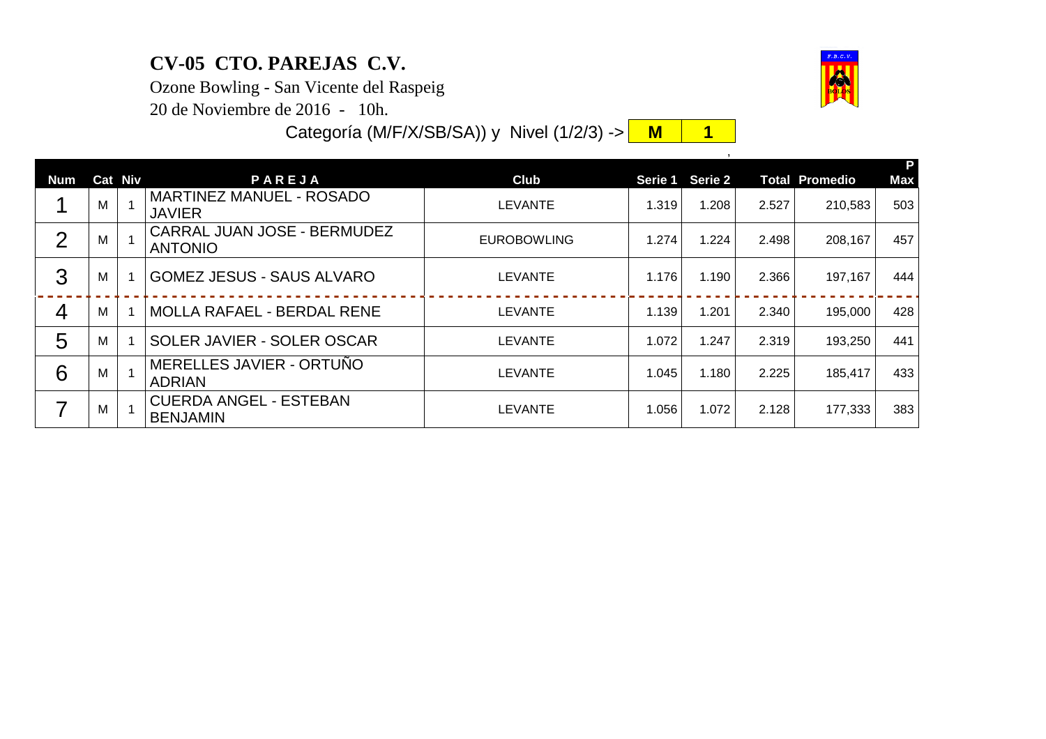## **CV-05 CTO. PAREJAS C.V.**

Ozone Bowling - San Vicente del Raspeig

20 de Noviembre de 2016 - 10h.

Categoría (M/F/X/SB/SA)) y Nivel (1/2/3) -> <mark>M | 1</mark>

|                |   |                |                                                      |                    |       |                 |       |                       | Р          |
|----------------|---|----------------|------------------------------------------------------|--------------------|-------|-----------------|-------|-----------------------|------------|
| <b>Num</b>     |   | <b>Cat Niv</b> | PAREJA                                               | Club               |       | Serie 1 Serie 2 |       | <b>Total Promedio</b> | <b>Max</b> |
|                | м |                | MARTINEZ MANUEL - ROSADO<br><b>JAVIER</b>            | <b>LEVANTE</b>     | 1.319 | 1.208           | 2.527 | 210,583               | 503        |
| $\overline{2}$ | м |                | <b>CARRAL JUAN JOSE - BERMUDEZ</b><br><b>ANTONIO</b> | <b>EUROBOWLING</b> | 1.274 | 1.224           | 2.498 | 208,167               | 457        |
| 3              | м |                | <b>GOMEZ JESUS - SAUS ALVARO</b>                     | <b>LEVANTE</b>     | 1.176 | 1.190           | 2.366 | 197,167               | 444        |
| 4              | м |                | <b>MOLLA RAFAEL - BERDAL RENE</b>                    | <b>LEVANTE</b>     | 1.139 | 1.201           | 2.340 | 195,000               | 428        |
| 5              | м |                | SOLER JAVIER - SOLER OSCAR                           | LEVANTE            | 1.072 | 1.247           | 2.319 | 193,250               | 441        |
| 6              | м |                | MERELLES JAVIER - ORTUNO<br><b>ADRIAN</b>            | LEVANTE            | 1.045 | 1.180           | 2.225 | 185,417               | 433        |
|                | м |                | <b>CUERDA ANGEL - ESTEBAN</b><br><b>BENJAMIN</b>     | LEVANTE            | 1.056 | 1.072           | 2.128 | 177,333               | 383        |



,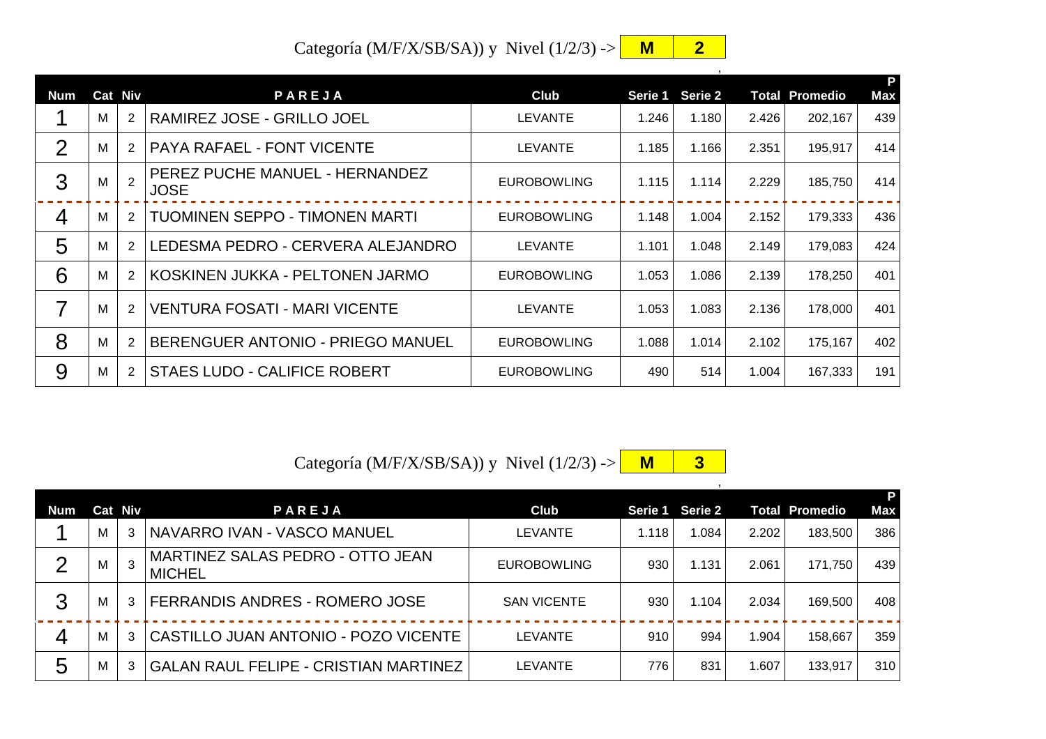Categoría (M/F/X/SB/SA)) y Nivel (1/2/3) -> **M 2** 

| Num            |   | Cat Niv        | PAREJA                                        | <b>Club</b>        |       | Serie 1 Serie 2 |       | <b>Total Promedio</b> | P<br><b>Max</b> |
|----------------|---|----------------|-----------------------------------------------|--------------------|-------|-----------------|-------|-----------------------|-----------------|
|                | м | $\overline{2}$ | RAMIREZ JOSE - GRILLO JOEL                    | <b>LEVANTE</b>     | 1.246 | 1.180           | 2.426 | 202,167               | 439             |
| 2              | M | $\overline{2}$ | <b>PAYA RAFAEL - FONT VICENTE</b>             | <b>LEVANTE</b>     | 1.185 | 1.166           | 2.351 | 195,917               | 414             |
| 3              | M | $\overline{2}$ | PEREZ PUCHE MANUEL - HERNANDEZ<br><b>JOSE</b> | <b>EUROBOWLING</b> | 1.115 | 1.114           | 2.229 | 185,750               | 414             |
| $\overline{4}$ | M | 2              | <b>TUOMINEN SEPPO - TIMONEN MARTI</b>         | <b>EUROBOWLING</b> | 1.148 | 1.004           | 2.152 | 179,333               | 436             |
| 5              | М | $\overline{2}$ | LEDESMA PEDRO - CERVERA ALEJANDRO             | LEVANTE            | 1.101 | 1.048           | 2.149 | 179,083               | 424             |
| 6              | M | 2              | KOSKINEN JUKKA - PELTONEN JARMO               | <b>EUROBOWLING</b> | 1.053 | 1.086           | 2.139 | 178,250               | 401             |
| 7              | М | $\overline{2}$ | <b>VENTURA FOSATI - MARI VICENTE</b>          | <b>LEVANTE</b>     | 1.053 | 1.083           | 2.136 | 178,000               | 401             |
| 8              | M | $\overline{2}$ | BERENGUER ANTONIO - PRIEGO MANUEL             | <b>EUROBOWLING</b> | 1.088 | 1.014           | 2.102 | 175,167               | 402             |
| 9              | M | $\overline{2}$ | <b>STAES LUDO - CALIFICE ROBERT</b>           | <b>EUROBOWLING</b> | 490   | 514             | 1.004 | 167,333               | 191             |

Categoría (M/F/X/SB/SA)) y Nivel  $(1/2/3)$  ->  $\begin{array}{|c|c|c|c|c|c|}\n\hline\nM & 3 & \multicolumn{1}{|c|}{3}\n\hline\n\end{array}$ 

,

| <b>Num</b>     | Cat Niv | PAREJA                                            | <b>Club</b>        | <b>Serie 1</b> | Serie 2 |       | <b>Total Promedio</b> | <b>Max</b> |
|----------------|---------|---------------------------------------------------|--------------------|----------------|---------|-------|-----------------------|------------|
|                | М       | NAVARRO IVAN - VASCO MANUEL                       | LEVANTE            | 1.118          | 1.084   | 2.202 | 183,500               | 386        |
| $\mathcal{P}$  | м       | MARTINEZ SALAS PEDRO - OTTO JEAN<br><b>MICHEL</b> | <b>EUROBOWLING</b> | 930            | 1.131   | 2.061 | 171,750               | 439        |
| 3              | М       | <b>FERRANDIS ANDRES - ROMERO JOSE</b>             | <b>SAN VICENTE</b> | 930            | 1.104   | 2.034 | 169,500               | 408        |
| $\overline{4}$ | М       | CASTILLO JUAN ANTONIO - POZO VICENTE              | LEVANTE            | 910            | 994     | 1.904 | 158,667               | 359        |
| 5              | М       | <b>GALAN RAUL FELIPE - CRISTIAN MARTINEZ</b>      | LEVANTE            | 776            | 831     | 1.607 | 133,917               | 310        |